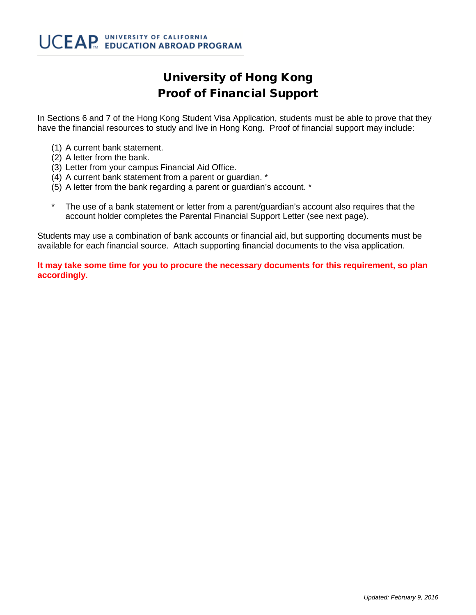## University of Hong Kong Proof of Financial Support

In Sections 6 and 7 of the Hong Kong Student Visa Application, students must be able to prove that they have the financial resources to study and live in Hong Kong. Proof of financial support may include:

- (1) A current bank statement.
- (2) A letter from the bank.
- (3) Letter from your campus Financial Aid Office.
- (4) A current bank statement from a parent or guardian. \*
- (5) A letter from the bank regarding a parent or guardian's account. \*
- The use of a bank statement or letter from a parent/guardian's account also requires that the account holder completes the Parental Financial Support Letter (see next page).

Students may use a combination of bank accounts or financial aid, but supporting documents must be available for each financial source. Attach supporting financial documents to the visa application.

**It may take some time for you to procure the necessary documents for this requirement, so plan accordingly.**